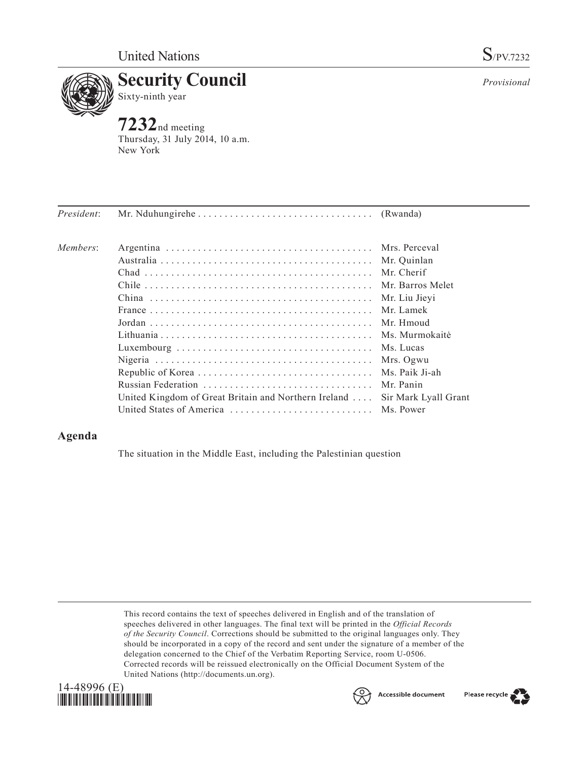

**Security Council** Sixty-ninth year

**7232**nd meeting Thursday, 31 July 2014, 10 a.m. New York

*Provisional*

| President: |                                                              |                      |
|------------|--------------------------------------------------------------|----------------------|
| Members:   |                                                              |                      |
|            |                                                              | Mr. Quinlan          |
|            |                                                              | Mr. Cherif           |
|            |                                                              | Mr. Barros Melet     |
|            |                                                              | Mr. Liu Jievi        |
|            |                                                              | Mr. Lamek            |
|            |                                                              | Mr. Hmoud            |
|            |                                                              | Ms. Murmokaitė       |
|            |                                                              |                      |
|            |                                                              | Mrs. Ogwu            |
|            |                                                              | Ms. Paik Ji-ah       |
|            |                                                              | Mr. Panin            |
|            | United Kingdom of Great Britain and Northern Ireland $\dots$ | Sir Mark Lyall Grant |
|            | United States of America  Ms. Power                          |                      |

## **Agenda**

The situation in the Middle East, including the Palestinian question

This record contains the text of speeches delivered in English and of the translation of speeches delivered in other languages. The final text will be printed in the *Official Records of the Security Council*. Corrections should be submitted to the original languages only. They should be incorporated in a copy of the record and sent under the signature of a member of the delegation concerned to the Chief of the Verbatim Reporting Service, room U-0506. Corrected records will be reissued electronically on the Official Document System of the United Nations [\(http://documents.un.org\)](http://documents.un.org/).





Please recycle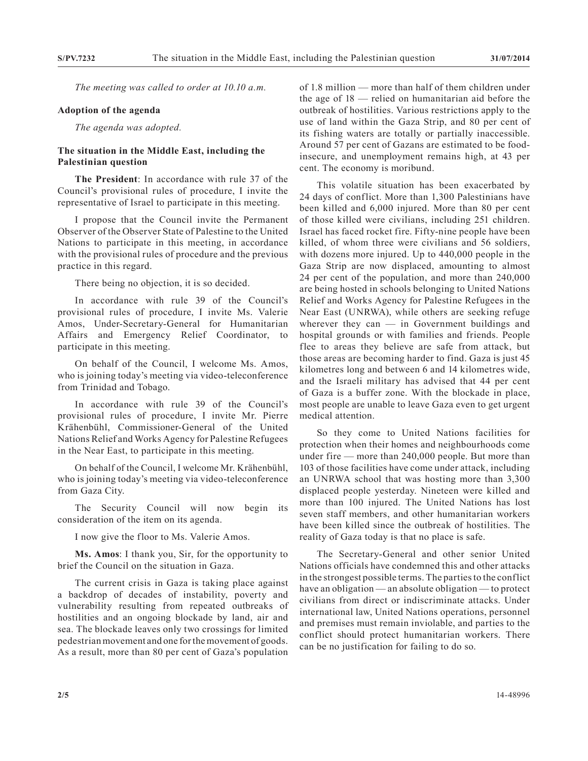*The meeting was called to order at 10.10 a.m.*

## **Adoption of the agenda**

*The agenda was adopted.*

## **The situation in the Middle East, including the Palestinian question**

**The President**: In accordance with rule 37 of the Council's provisional rules of procedure, I invite the representative of Israel to participate in this meeting.

I propose that the Council invite the Permanent Observer of the Observer State of Palestine to the United Nations to participate in this meeting, in accordance with the provisional rules of procedure and the previous practice in this regard.

There being no objection, it is so decided.

In accordance with rule 39 of the Council's provisional rules of procedure, I invite Ms. Valerie Amos, Under-Secretary-General for Humanitarian Affairs and Emergency Relief Coordinator, to participate in this meeting.

On behalf of the Council, I welcome Ms. Amos, who is joining today's meeting via video-teleconference from Trinidad and Tobago.

In accordance with rule 39 of the Council's provisional rules of procedure, I invite Mr. Pierre Krähenbühl, Commissioner-General of the United Nations Relief and Works Agency for Palestine Refugees in the Near East, to participate in this meeting.

On behalf of the Council, I welcome Mr. Krähenbühl, who is joining today's meeting via video-teleconference from Gaza City.

The Security Council will now begin its consideration of the item on its agenda.

I now give the floor to Ms. Valerie Amos.

**Ms. Amos**: I thank you, Sir, for the opportunity to brief the Council on the situation in Gaza.

The current crisis in Gaza is taking place against a backdrop of decades of instability, poverty and vulnerability resulting from repeated outbreaks of hostilities and an ongoing blockade by land, air and sea. The blockade leaves only two crossings for limited pedestrian movement and one for the movement of goods. As a result, more than 80 per cent of Gaza's population

of 1.8 million — more than half of them children under the age of 18 — relied on humanitarian aid before the outbreak of hostilities. Various restrictions apply to the use of land within the Gaza Strip, and 80 per cent of its fishing waters are totally or partially inaccessible. Around 57 per cent of Gazans are estimated to be foodinsecure, and unemployment remains high, at 43 per cent. The economy is moribund.

This volatile situation has been exacerbated by 24 days of conflict. More than 1,300 Palestinians have been killed and 6,000 injured. More than 80 per cent of those killed were civilians, including 251 children. Israel has faced rocket fire. Fifty-nine people have been killed, of whom three were civilians and 56 soldiers, with dozens more injured. Up to 440,000 people in the Gaza Strip are now displaced, amounting to almost 24 per cent of the population, and more than 240,000 are being hosted in schools belonging to United Nations Relief and Works Agency for Palestine Refugees in the Near East (UNRWA), while others are seeking refuge wherever they can — in Government buildings and hospital grounds or with families and friends. People flee to areas they believe are safe from attack, but those areas are becoming harder to find. Gaza is just 45 kilometres long and between 6 and 14 kilometres wide, and the Israeli military has advised that 44 per cent of Gaza is a buffer zone. With the blockade in place, most people are unable to leave Gaza even to get urgent medical attention.

So they come to United Nations facilities for protection when their homes and neighbourhoods come under fire — more than 240,000 people. But more than 103 of those facilities have come under attack, including an UNRWA school that was hosting more than 3,300 displaced people yesterday. Nineteen were killed and more than 100 injured. The United Nations has lost seven staff members, and other humanitarian workers have been killed since the outbreak of hostilities. The reality of Gaza today is that no place is safe.

The Secretary-General and other senior United Nations officials have condemned this and other attacks in the strongest possible terms. The parties to the conflict have an obligation — an absolute obligation — to protect civilians from direct or indiscriminate attacks. Under international law, United Nations operations, personnel and premises must remain inviolable, and parties to the conflict should protect humanitarian workers. There can be no justification for failing to do so.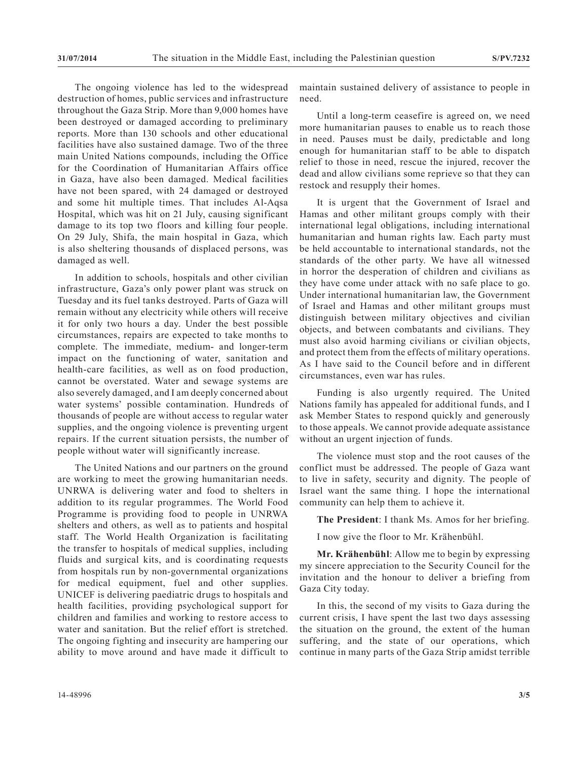The ongoing violence has led to the widespread destruction of homes, public services and infrastructure throughout the Gaza Strip. More than 9,000 homes have been destroyed or damaged according to preliminary reports. More than 130 schools and other educational facilities have also sustained damage. Two of the three main United Nations compounds, including the Office for the Coordination of Humanitarian Affairs office in Gaza, have also been damaged. Medical facilities have not been spared, with 24 damaged or destroyed and some hit multiple times. That includes Al-Aqsa Hospital, which was hit on 21 July, causing significant damage to its top two floors and killing four people. On 29 July, Shifa, the main hospital in Gaza, which is also sheltering thousands of displaced persons, was damaged as well.

In addition to schools, hospitals and other civilian infrastructure, Gaza's only power plant was struck on Tuesday and its fuel tanks destroyed. Parts of Gaza will remain without any electricity while others will receive it for only two hours a day. Under the best possible circumstances, repairs are expected to take months to complete. The immediate, medium- and longer-term impact on the functioning of water, sanitation and health-care facilities, as well as on food production, cannot be overstated. Water and sewage systems are also severely damaged, and I am deeply concerned about water systems' possible contamination. Hundreds of thousands of people are without access to regular water supplies, and the ongoing violence is preventing urgent repairs. If the current situation persists, the number of people without water will significantly increase.

The United Nations and our partners on the ground are working to meet the growing humanitarian needs. UNRWA is delivering water and food to shelters in addition to its regular programmes. The World Food Programme is providing food to people in UNRWA shelters and others, as well as to patients and hospital staff. The World Health Organization is facilitating the transfer to hospitals of medical supplies, including fluids and surgical kits, and is coordinating requests from hospitals run by non-governmental organizations for medical equipment, fuel and other supplies. UNICEF is delivering paediatric drugs to hospitals and health facilities, providing psychological support for children and families and working to restore access to water and sanitation. But the relief effort is stretched. The ongoing fighting and insecurity are hampering our ability to move around and have made it difficult to

Until a long-term ceasefire is agreed on, we need more humanitarian pauses to enable us to reach those in need. Pauses must be daily, predictable and long enough for humanitarian staff to be able to dispatch relief to those in need, rescue the injured, recover the dead and allow civilians some reprieve so that they can restock and resupply their homes.

It is urgent that the Government of Israel and Hamas and other militant groups comply with their international legal obligations, including international humanitarian and human rights law. Each party must be held accountable to international standards, not the standards of the other party. We have all witnessed in horror the desperation of children and civilians as they have come under attack with no safe place to go. Under international humanitarian law, the Government of Israel and Hamas and other militant groups must distinguish between military objectives and civilian objects, and between combatants and civilians. They must also avoid harming civilians or civilian objects, and protect them from the effects of military operations. As I have said to the Council before and in different circumstances, even war has rules.

Funding is also urgently required. The United Nations family has appealed for additional funds, and I ask Member States to respond quickly and generously to those appeals. We cannot provide adequate assistance without an urgent injection of funds.

The violence must stop and the root causes of the conflict must be addressed. The people of Gaza want to live in safety, security and dignity. The people of Israel want the same thing. I hope the international community can help them to achieve it.

**The President**: I thank Ms. Amos for her briefing.

I now give the floor to Mr. Krähenbühl.

**Mr. Krähenbühl**: Allow me to begin by expressing my sincere appreciation to the Security Council for the invitation and the honour to deliver a briefing from Gaza City today.

In this, the second of my visits to Gaza during the current crisis, I have spent the last two days assessing the situation on the ground, the extent of the human suffering, and the state of our operations, which continue in many parts of the Gaza Strip amidst terrible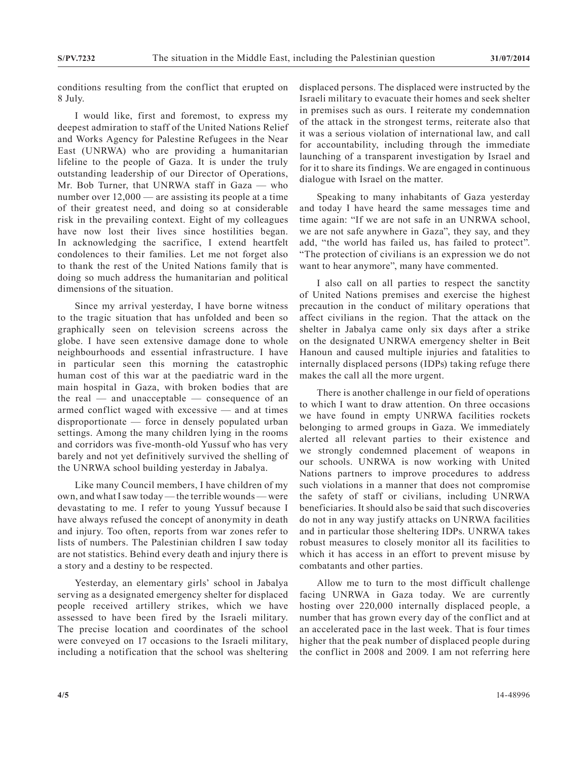conditions resulting from the conflict that erupted on 8 July.

I would like, first and foremost, to express my deepest admiration to staff of the United Nations Relief and Works Agency for Palestine Refugees in the Near East (UNRWA) who are providing a humanitarian lifeline to the people of Gaza. It is under the truly outstanding leadership of our Director of Operations, Mr. Bob Turner, that UNRWA staff in Gaza — who number over 12,000 — are assisting its people at a time of their greatest need, and doing so at considerable risk in the prevailing context. Eight of my colleagues have now lost their lives since hostilities began. In acknowledging the sacrifice, I extend heartfelt condolences to their families. Let me not forget also to thank the rest of the United Nations family that is doing so much address the humanitarian and political dimensions of the situation.

Since my arrival yesterday, I have borne witness to the tragic situation that has unfolded and been so graphically seen on television screens across the globe. I have seen extensive damage done to whole neighbourhoods and essential infrastructure. I have in particular seen this morning the catastrophic human cost of this war at the paediatric ward in the main hospital in Gaza, with broken bodies that are the real — and unacceptable — consequence of an armed conflict waged with excessive — and at times disproportionate — force in densely populated urban settings. Among the many children lying in the rooms and corridors was five-month-old Yussuf who has very barely and not yet definitively survived the shelling of the UNRWA school building yesterday in Jabalya.

Like many Council members, I have children of my own, and what I saw today — the terrible wounds — were devastating to me. I refer to young Yussuf because I have always refused the concept of anonymity in death and injury. Too often, reports from war zones refer to lists of numbers. The Palestinian children I saw today are not statistics. Behind every death and injury there is a story and a destiny to be respected.

Yesterday, an elementary girls' school in Jabalya serving as a designated emergency shelter for displaced people received artillery strikes, which we have assessed to have been fired by the Israeli military. The precise location and coordinates of the school were conveyed on 17 occasions to the Israeli military, including a notification that the school was sheltering displaced persons. The displaced were instructed by the Israeli military to evacuate their homes and seek shelter in premises such as ours. I reiterate my condemnation of the attack in the strongest terms, reiterate also that it was a serious violation of international law, and call for accountability, including through the immediate launching of a transparent investigation by Israel and for it to share its findings. We are engaged in continuous dialogue with Israel on the matter.

Speaking to many inhabitants of Gaza yesterday and today I have heard the same messages time and time again: "If we are not safe in an UNRWA school, we are not safe anywhere in Gaza", they say, and they add, "the world has failed us, has failed to protect". "The protection of civilians is an expression we do not want to hear anymore", many have commented.

I also call on all parties to respect the sanctity of United Nations premises and exercise the highest precaution in the conduct of military operations that affect civilians in the region. That the attack on the shelter in Jabalya came only six days after a strike on the designated UNRWA emergency shelter in Beit Hanoun and caused multiple injuries and fatalities to internally displaced persons (IDPs) taking refuge there makes the call all the more urgent.

There is another challenge in our field of operations to which I want to draw attention. On three occasions we have found in empty UNRWA facilities rockets belonging to armed groups in Gaza. We immediately alerted all relevant parties to their existence and we strongly condemned placement of weapons in our schools. UNRWA is now working with United Nations partners to improve procedures to address such violations in a manner that does not compromise the safety of staff or civilians, including UNRWA beneficiaries. It should also be said that such discoveries do not in any way justify attacks on UNRWA facilities and in particular those sheltering IDPs. UNRWA takes robust measures to closely monitor all its facilities to which it has access in an effort to prevent misuse by combatants and other parties.

Allow me to turn to the most difficult challenge facing UNRWA in Gaza today. We are currently hosting over 220,000 internally displaced people, a number that has grown every day of the conflict and at an accelerated pace in the last week. That is four times higher that the peak number of displaced people during the conflict in 2008 and 2009. I am not referring here